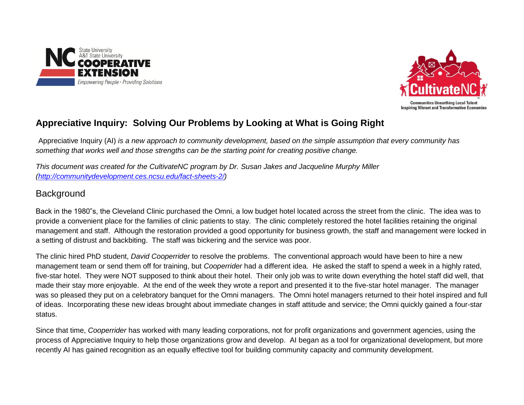



# **Appreciative Inquiry: Solving Our Problems by Looking at What is Going Right**

Appreciative Inquiry (AI) *is a new approach to community development, based on the simple assumption that every community has something that works well and those strengths can be the starting point for creating positive change.* 

*This document was created for the CultivateNC program by Dr. Susan Jakes and Jacqueline Murphy Miller [\(http://communitydevelopment.ces.ncsu.edu/fact-sheets-2/\)](http://communitydevelopment.ces.ncsu.edu/fact-sheets-2/)*

# **Background**

Back in the 1980"s, the Cleveland Clinic purchased the Omni, a low budget hotel located across the street from the clinic. The idea was to provide a convenient place for the families of clinic patients to stay. The clinic completely restored the hotel facilities retaining the original management and staff. Although the restoration provided a good opportunity for business growth, the staff and management were locked in a setting of distrust and backbiting. The staff was bickering and the service was poor.

The clinic hired PhD student, *David Cooperrider* to resolve the problems. The conventional approach would have been to hire a new management team or send them off for training, but *Cooperrider* had a different idea. He asked the staff to spend a week in a highly rated, five-star hotel. They were NOT supposed to think about their hotel. Their only job was to write down everything the hotel staff did well, that made their stay more enjoyable. At the end of the week they wrote a report and presented it to the five-star hotel manager. The manager was so pleased they put on a celebratory banquet for the Omni managers. The Omni hotel managers returned to their hotel inspired and full of ideas. Incorporating these new ideas brought about immediate changes in staff attitude and service; the Omni quickly gained a four-star status.

Since that time, *Cooperrider* has worked with many leading corporations, not for profit organizations and government agencies, using the process of Appreciative Inquiry to help those organizations grow and develop. AI began as a tool for organizational development, but more recently AI has gained recognition as an equally effective tool for building community capacity and community development.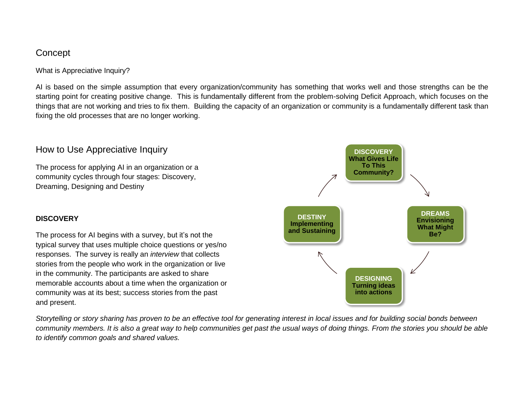## **Concept**

What is Appreciative Inquiry?

AI is based on the simple assumption that every organization/community has something that works well and those strengths can be the starting point for creating positive change. This is fundamentally different from the problem-solving Deficit Approach, which focuses on the things that are not working and tries to fix them. Building the capacity of an organization or community is a fundamentally different task than fixing the old processes that are no longer working.

### How to Use Appreciative Inquiry

The process for applying AI in an organization or a community cycles through four stages: Discovery, Dreaming, Designing and Destiny

### **DISCOVERY**

The process for AI begins with a survey, but it's not the typical survey that uses multiple choice questions or yes/no responses. The survey is really an *interview* that collects stories from the people who work in the organization or live in the community. The participants are asked to share memorable accounts about a time when the organization or community was at its best; success stories from the past and present.



*Storytelling or story sharing has proven to be an effective tool for generating interest in local issues and for building social bonds between community members. It is also a great way to help communities get past the usual ways of doing things. From the stories you should be able to identify common goals and shared values.*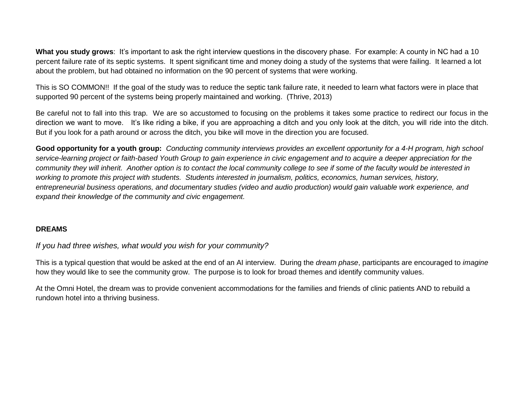**What you study grows**: It's important to ask the right interview questions in the discovery phase. For example: A county in NC had a 10 percent failure rate of its septic systems. It spent significant time and money doing a study of the systems that were failing. It learned a lot about the problem, but had obtained no information on the 90 percent of systems that were working.

This is SO COMMON!! If the goal of the study was to reduce the septic tank failure rate, it needed to learn what factors were in place that supported 90 percent of the systems being properly maintained and working. (Thrive, 2013)

Be careful not to fall into this trap. We are so accustomed to focusing on the problems it takes some practice to redirect our focus in the direction we want to move. It's like riding a bike, if you are approaching a ditch and you only look at the ditch, you will ride into the ditch. But if you look for a path around or across the ditch, you bike will move in the direction you are focused.

**Good opportunity for a youth group:** *Conducting community interviews provides an excellent opportunity for a 4-H program, high school service-learning project or faith-based Youth Group to gain experience in civic engagement and to acquire a deeper appreciation for the community they will inherit. Another option is to contact the local community college to see if some of the faculty would be interested in working to promote this project with students. Students interested in journalism, politics, economics, human services, history, entrepreneurial business operations, and documentary studies (video and audio production) would gain valuable work experience, and expand their knowledge of the community and civic engagement.* 

#### **DREAMS**

### *If you had three wishes, what would you wish for your community?*

This is a typical question that would be asked at the end of an AI interview. During the *dream phase*, participants are encouraged to *imagine* how they would like to see the community grow. The purpose is to look for broad themes and identify community values.

At the Omni Hotel, the dream was to provide convenient accommodations for the families and friends of clinic patients AND to rebuild a rundown hotel into a thriving business.